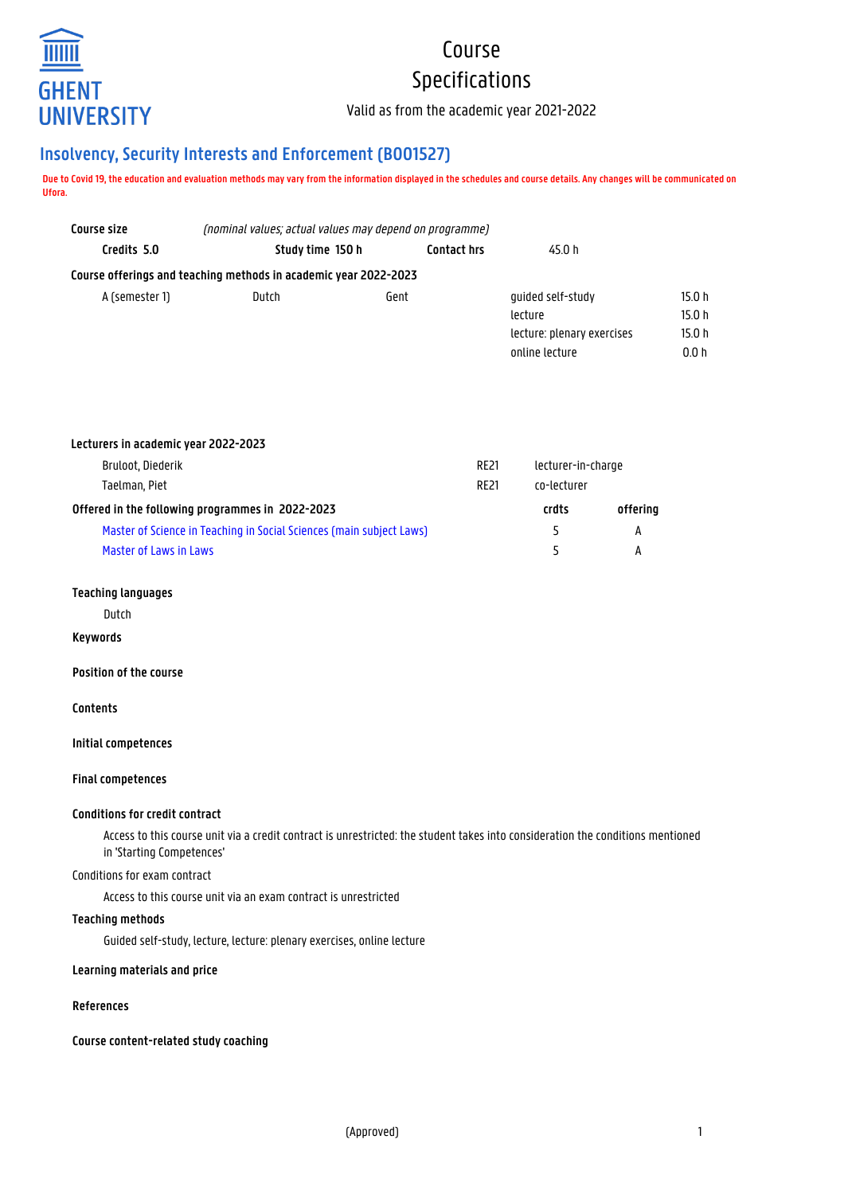

# Course Specifications

Valid as from the academic year 2021-2022

# **Insolvency, Security Interests and Enforcement (B001527)**

**Due to Covid 19, the education and evaluation methods may vary from the information displayed in the schedules and course details. Any changes will be communicated on Ufora.**

| Study time 150 h | <b>Contact hrs</b> | 45.0 h                                                                                                                              |        |
|------------------|--------------------|-------------------------------------------------------------------------------------------------------------------------------------|--------|
|                  |                    |                                                                                                                                     |        |
| Dutch            |                    | quided self-study                                                                                                                   | 15.0 h |
|                  |                    | lecture                                                                                                                             | 15.0 h |
|                  |                    | lecture: plenary exercises                                                                                                          | 15.0h  |
|                  |                    | online lecture                                                                                                                      | 0.0h   |
|                  |                    | (nominal values; actual values may depend on programme)<br>Course offerings and teaching methods in academic year 2022-2023<br>Gent |        |

| Lecturers in academic year 2022-2023                                 |             |                    |          |
|----------------------------------------------------------------------|-------------|--------------------|----------|
| Bruloot, Diederik                                                    | <b>RE21</b> | lecturer-in-charge |          |
| Taelman, Piet                                                        | <b>RF21</b> | co-lecturer        |          |
| Offered in the following programmes in 2022-2023                     |             | crdts              | offering |
| Master of Science in Teaching in Social Sciences (main subject Laws) |             |                    | А        |
| Master of Laws in Laws                                               |             |                    | А        |

#### **Teaching languages**

Dutch

#### **Keywords**

**Position of the course**

## **Contents**

**Initial competences**

#### **Final competences**

# **Conditions for credit contract**

Access to this course unit via a credit contract is unrestricted: the student takes into consideration the conditions mentioned in 'Starting Competences'

#### Conditions for exam contract

Access to this course unit via an exam contract is unrestricted

#### **Teaching methods**

Guided self-study, lecture, lecture: plenary exercises, online lecture

#### **Learning materials and price**

#### **References**

**Course content-related study coaching**